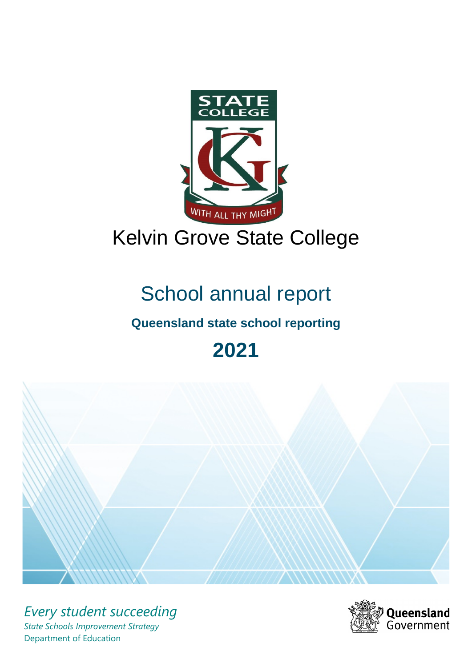

# Kelvin Grove State College

# School annual report

# **Queensland state school reporting**

# **2021**



*Every student succeeding State Schools Improvement Strategy* Department of Education

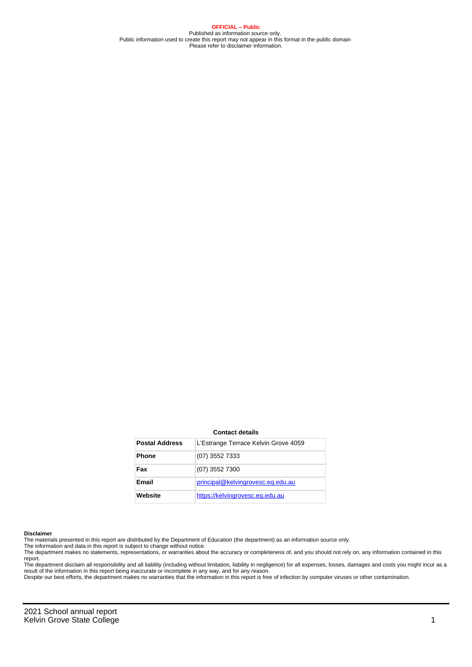**OFFICIAL – Public** Published as information source only. Public information used to create this report may not appear in this format in the public domain Please refer to disclaimer information.

#### **Contact details**

| <b>Postal Address</b> | L'Estrange Terrace Kelvin Grove 4059 |
|-----------------------|--------------------------------------|
| <b>Phone</b>          | $(07)$ 3552 7333                     |
| Fax                   | (07) 3552 7300                       |
| Email                 | principal@kelvingrovesc.eq.edu.au    |
| Website               | https://kelvingrovesc.eq.edu.au      |

#### **Disclaimer**

The materials presented in this report are distributed by the Department of Education (the department) as an information source only.

The information and data in this report is subject to change without notice.<br>The department makes no statements, representations, or warranties about the accuracy or completeness of, and you should not rely on, any informa report.

The department disclaim all responsibility and all liability (including without limitation, liability in negligence) for all expenses, losses, damages and costs you might incur as a result of the information in this report being inaccurate or incomplete in any way, and for any reason.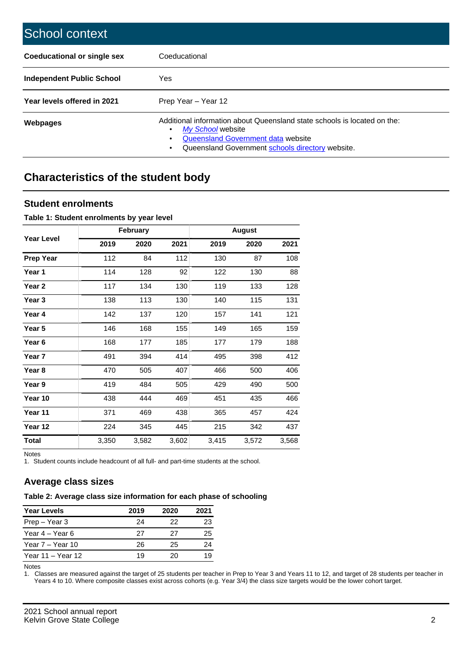| School context                   |                                                                                                                                                                                              |
|----------------------------------|----------------------------------------------------------------------------------------------------------------------------------------------------------------------------------------------|
| Coeducational or single sex      | Coeducational                                                                                                                                                                                |
| <b>Independent Public School</b> | <b>Yes</b>                                                                                                                                                                                   |
| Year levels offered in 2021      | Prep Year - Year 12                                                                                                                                                                          |
| Webpages                         | Additional information about Queensland state schools is located on the:<br>My School website<br>Queensland Government data website<br>Queensland Government schools directory website.<br>٠ |

# **Characteristics of the student body**

## **Student enrolments**

#### **Table 1: Student enrolments by year level**

|                   |       | <b>February</b> |       |       | <b>August</b> |       |
|-------------------|-------|-----------------|-------|-------|---------------|-------|
| <b>Year Level</b> | 2019  | 2020            | 2021  | 2019  | 2020          | 2021  |
| <b>Prep Year</b>  | 112   | 84              | 112   | 130   | 87            | 108   |
| Year 1            | 114   | 128             | 92    | 122   | 130           | 88    |
| Year 2            | 117   | 134             | 130   | 119   | 133           | 128   |
| Year <sub>3</sub> | 138   | 113             | 130   | 140   | 115           | 131   |
| Year 4            | 142   | 137             | 120   | 157   | 141           | 121   |
| Year 5            | 146   | 168             | 155   | 149   | 165           | 159   |
| Year 6            | 168   | 177             | 185   | 177   | 179           | 188   |
| Year 7            | 491   | 394             | 414   | 495   | 398           | 412   |
| Year 8            | 470   | 505             | 407   | 466   | 500           | 406   |
| Year 9            | 419   | 484             | 505   | 429   | 490           | 500   |
| Year 10           | 438   | 444             | 469   | 451   | 435           | 466   |
| Year 11           | 371   | 469             | 438   | 365   | 457           | 424   |
| Year 12           | 224   | 345             | 445   | 215   | 342           | 437   |
| <b>Total</b>      | 3,350 | 3,582           | 3,602 | 3,415 | 3,572         | 3,568 |

Notes

1. Student counts include headcount of all full- and part-time students at the school.

## **Average class sizes**

## **Table 2: Average class size information for each phase of schooling**

| <b>Year Levels</b> | 2019 | 2020 | 2021 |
|--------------------|------|------|------|
| Prep – Year 3      | 24   | 22   | 23   |
| Year 4 – Year 6    | 27   | 27   | 25   |
| Year 7 – Year 10   | 26   | 25   | 24   |
| Year 11 – Year 12  | 19   | 20   | 19   |

Notes

1. Classes are measured against the target of 25 students per teacher in Prep to Year 3 and Years 11 to 12, and target of 28 students per teacher in Years 4 to 10. Where composite classes exist across cohorts (e.g. Year 3/4) the class size targets would be the lower cohort target.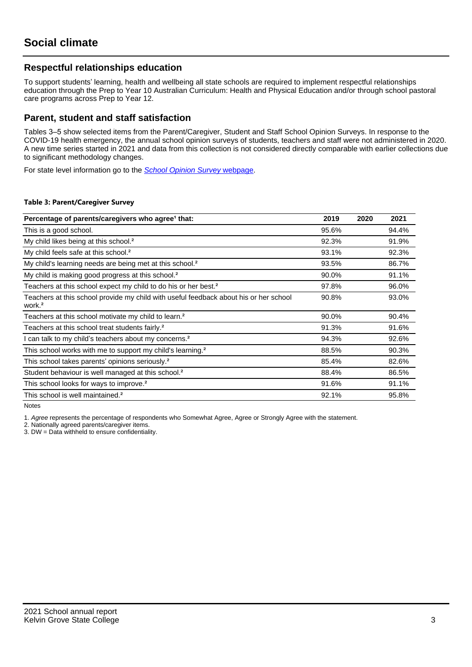## **Respectful relationships education**

To support students' learning, health and wellbeing all state schools are required to implement respectful relationships education through the Prep to Year 10 Australian Curriculum: Health and Physical Education and/or through school pastoral care programs across Prep to Year 12.

## **Parent, student and staff satisfaction**

Tables 3–5 show selected items from the Parent/Caregiver, Student and Staff School Opinion Surveys. In response to the COVID-19 health emergency, the annual school opinion surveys of students, teachers and staff were not administered in 2020. A new time series started in 2021 and data from this collection is not considered directly comparable with earlier collections due to significant methodology changes.

For state level information go to the **[School Opinion Survey](https://qed.qld.gov.au/publications/reports/statistics/schooling/schools/schoolopinionsurvey) webpage**.

#### **Table 3: Parent/Caregiver Survey**

| Percentage of parents/caregivers who agree <sup>1</sup> that:                                               | 2019  | 2020 | 2021  |
|-------------------------------------------------------------------------------------------------------------|-------|------|-------|
| This is a good school.                                                                                      | 95.6% |      | 94.4% |
| My child likes being at this school. <sup>2</sup>                                                           | 92.3% |      | 91.9% |
| My child feels safe at this school. <sup>2</sup>                                                            | 93.1% |      | 92.3% |
| My child's learning needs are being met at this school. <sup>2</sup>                                        | 93.5% |      | 86.7% |
| My child is making good progress at this school. <sup>2</sup>                                               | 90.0% |      | 91.1% |
| Teachers at this school expect my child to do his or her best. <sup>2</sup>                                 | 97.8% |      | 96.0% |
| Teachers at this school provide my child with useful feedback about his or her school<br>work. <sup>2</sup> | 90.8% |      | 93.0% |
| Teachers at this school motivate my child to learn. <sup>2</sup>                                            | 90.0% |      | 90.4% |
| Teachers at this school treat students fairly. <sup>2</sup>                                                 | 91.3% |      | 91.6% |
| can talk to my child's teachers about my concerns. <sup>2</sup>                                             | 94.3% |      | 92.6% |
| This school works with me to support my child's learning. <sup>2</sup>                                      | 88.5% |      | 90.3% |
| This school takes parents' opinions seriously. <sup>2</sup>                                                 | 85.4% |      | 82.6% |
| Student behaviour is well managed at this school. <sup>2</sup>                                              | 88.4% |      | 86.5% |
| This school looks for ways to improve. <sup>2</sup>                                                         | 91.6% |      | 91.1% |
| This school is well maintained. <sup>2</sup>                                                                | 92.1% |      | 95.8% |

Notes

1. Agree represents the percentage of respondents who Somewhat Agree, Agree or Strongly Agree with the statement.

2. Nationally agreed parents/caregiver items.

3. DW = Data withheld to ensure confidentiality.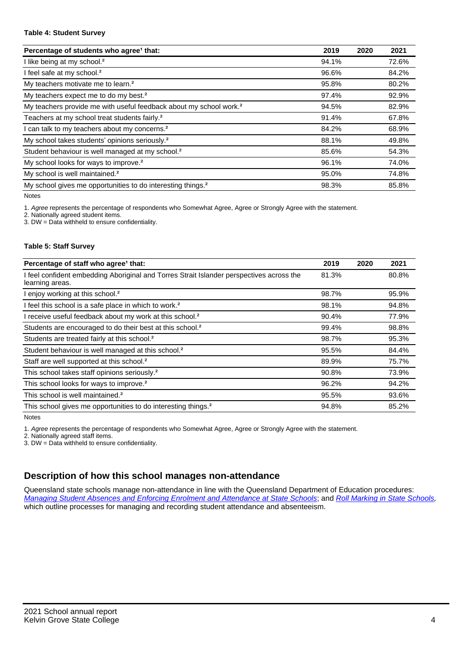#### **Table 4: Student Survey**

| Percentage of students who agree <sup>1</sup> that:                            | 2019  | 2020 | 2021  |
|--------------------------------------------------------------------------------|-------|------|-------|
| I like being at my school. <sup>2</sup>                                        | 94.1% |      | 72.6% |
| I feel safe at my school. <sup>2</sup>                                         | 96.6% |      | 84.2% |
| My teachers motivate me to learn. <sup>2</sup>                                 | 95.8% |      | 80.2% |
| My teachers expect me to do my best. <sup>2</sup>                              | 97.4% |      | 92.9% |
| My teachers provide me with useful feedback about my school work. <sup>2</sup> | 94.5% |      | 82.9% |
| Teachers at my school treat students fairly. <sup>2</sup>                      | 91.4% |      | 67.8% |
| I can talk to my teachers about my concerns. <sup>2</sup>                      | 84.2% |      | 68.9% |
| My school takes students' opinions seriously. <sup>2</sup>                     | 88.1% |      | 49.8% |
| Student behaviour is well managed at my school. <sup>2</sup>                   | 85.6% |      | 54.3% |
| My school looks for ways to improve. <sup>2</sup>                              | 96.1% |      | 74.0% |
| My school is well maintained. <sup>2</sup>                                     | 95.0% |      | 74.8% |
| My school gives me opportunities to do interesting things. <sup>2</sup>        | 98.3% |      | 85.8% |

Notes

1. Agree represents the percentage of respondents who Somewhat Agree, Agree or Strongly Agree with the statement.

2. Nationally agreed student items.

3. DW = Data withheld to ensure confidentiality.

#### **Table 5: Staff Survey**

| Percentage of staff who agree <sup>1</sup> that:                                                            | 2019  | 2020 | 2021  |
|-------------------------------------------------------------------------------------------------------------|-------|------|-------|
| I feel confident embedding Aboriginal and Torres Strait Islander perspectives across the<br>learning areas. | 81.3% |      | 80.8% |
| I enjoy working at this school. <sup>2</sup>                                                                | 98.7% |      | 95.9% |
| I feel this school is a safe place in which to work. <sup>2</sup>                                           | 98.1% |      | 94.8% |
| I receive useful feedback about my work at this school. <sup>2</sup>                                        | 90.4% |      | 77.9% |
| Students are encouraged to do their best at this school. <sup>2</sup>                                       | 99.4% |      | 98.8% |
| Students are treated fairly at this school. <sup>2</sup>                                                    | 98.7% |      | 95.3% |
| Student behaviour is well managed at this school. <sup>2</sup>                                              | 95.5% |      | 84.4% |
| Staff are well supported at this school. <sup>2</sup>                                                       | 89.9% |      | 75.7% |
| This school takes staff opinions seriously. <sup>2</sup>                                                    | 90.8% |      | 73.9% |
| This school looks for ways to improve. <sup>2</sup>                                                         | 96.2% |      | 94.2% |
| This school is well maintained. <sup>2</sup>                                                                | 95.5% |      | 93.6% |
| This school gives me opportunities to do interesting things. <sup>2</sup>                                   | 94.8% |      | 85.2% |

Notes

1. Agree represents the percentage of respondents who Somewhat Agree, Agree or Strongly Agree with the statement.

2. Nationally agreed staff items.

3. DW = Data withheld to ensure confidentiality.

# **Description of how this school manages non-attendance**

Queensland state schools manage non-attendance in line with the Queensland Department of Education procedures: [Managing Student Absences and Enforcing Enrolment and Attendance at State Schools](https://ppr.qed.qld.gov.au/pp/managing-student-absences-and-enforcing-enrolment-and-attendance-at-state-schools-procedure); and [Roll Marking in State Schools,](https://ppr.qed.qld.gov.au/pp/roll-marking-in-state-schools-procedure) which outline processes for managing and recording student attendance and absenteeism.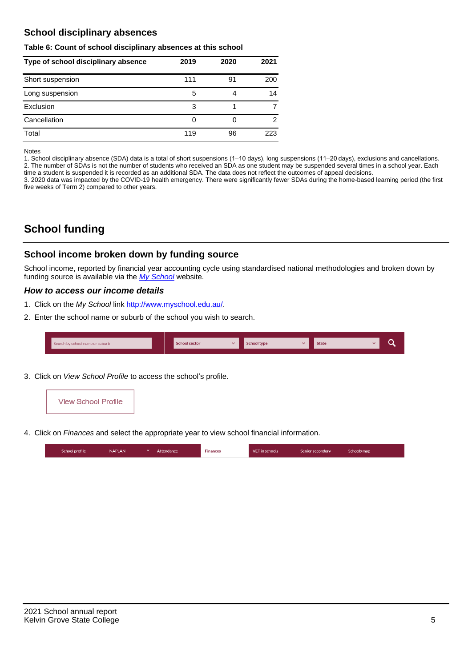## **School disciplinary absences**

#### **Table 6: Count of school disciplinary absences at this school**

| Type of school disciplinary absence | 2019 | 2020 | 2021 |
|-------------------------------------|------|------|------|
| Short suspension                    | 111  | 91   | 200  |
| Long suspension                     | 5    |      | 14   |
| Exclusion                           | 3    |      |      |
| Cancellation                        | 0    |      | 2    |
| Total                               | 119  | 96   | 223  |

Notes

1. School disciplinary absence (SDA) data is a total of short suspensions (1–10 days), long suspensions (11–20 days), exclusions and cancellations. 2. The number of SDAs is not the number of students who received an SDA as one student may be suspended several times in a school year. Each time a student is suspended it is recorded as an additional SDA. The data does not reflect the outcomes of appeal decisions.

3. 2020 data was impacted by the COVID-19 health emergency. There were significantly fewer SDAs during the home-based learning period (the first five weeks of Term 2) compared to other years.

# **School funding**

## **School income broken down by funding source**

School income, reported by financial year accounting cycle using standardised national methodologies and broken down by funding source is available via the [My School](http://www.myschool.edu.au/) website.

### **How to access our income details**

- 1. Click on the My School link <http://www.myschool.edu.au/>.
- 2. Enter the school name or suburb of the school you wish to search.

| Search by school name or suburb | <b>School sector</b> | School type | <b>State</b> |  |
|---------------------------------|----------------------|-------------|--------------|--|
|                                 |                      |             |              |  |

3. Click on View School Profile to access the school's profile.



4. Click on Finances and select the appropriate year to view school financial information.

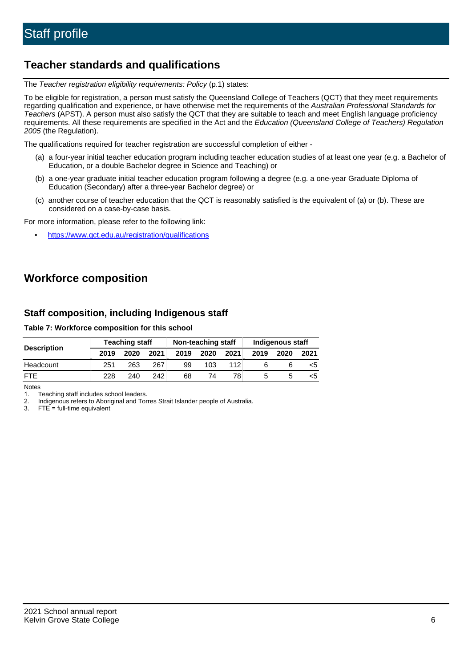# **Teacher standards and qualifications**

The Teacher registration eligibility requirements: Policy (p.1) states:

To be eligible for registration, a person must satisfy the Queensland College of Teachers (QCT) that they meet requirements regarding qualification and experience, or have otherwise met the requirements of the Australian Professional Standards for Teachers (APST). A person must also satisfy the QCT that they are suitable to teach and meet English language proficiency requirements. All these requirements are specified in the Act and the Education (Queensland College of Teachers) Regulation 2005 (the Regulation).

The qualifications required for teacher registration are successful completion of either -

- (a) a four-year initial teacher education program including teacher education studies of at least one year (e.g. a Bachelor of Education, or a double Bachelor degree in Science and Teaching) or
- (b) a one-year graduate initial teacher education program following a degree (e.g. a one-year Graduate Diploma of Education (Secondary) after a three-year Bachelor degree) or
- (c) another course of teacher education that the QCT is reasonably satisfied is the equivalent of (a) or (b). These are considered on a case-by-case basis.

For more information, please refer to the following link:

• <https://www.qct.edu.au/registration/qualifications>

# **Workforce composition**

## **Staff composition, including Indigenous staff**

#### **Table 7: Workforce composition for this school**

|                    | <b>Teaching staff</b> |      |                  | Non-teaching staff |      |      | Indigenous staff |      |      |
|--------------------|-----------------------|------|------------------|--------------------|------|------|------------------|------|------|
| <b>Description</b> | 2019                  | 2020 | 2021             | 2019               | 2020 | 2021 | 2019             | 2020 | 2021 |
| Headcount          | 251                   | 263  | 267              | 99                 | 103  | 112  |                  |      | ה>   |
| <b>FTF</b>         | 228                   | 240  | 242 <sub>1</sub> | 68                 | 74   | 78   |                  |      | ה>   |

Notes

1. Teaching staff includes school leaders.

2. Indigenous refers to Aboriginal and Torres Strait Islander people of Australia.

3. FTE = full-time equivalent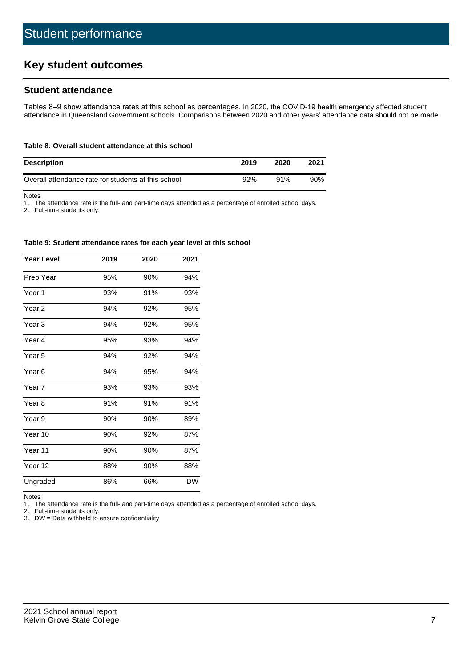# **Key student outcomes**

## **Student attendance**

Tables 8–9 show attendance rates at this school as percentages. In 2020, the COVID-19 health emergency affected student attendance in Queensland Government schools. Comparisons between 2020 and other years' attendance data should not be made.

#### **Table 8: Overall student attendance at this school**

| <b>Description</b>                                  | 2019 | 2020 | 2021   |
|-----------------------------------------------------|------|------|--------|
| Overall attendance rate for students at this school | 92%  | 91%  | $90\%$ |

Notes

1. The attendance rate is the full- and part-time days attended as a percentage of enrolled school days.

2. Full-time students only.

#### **Table 9: Student attendance rates for each year level at this school**

| <b>Year Level</b> | 2019 | 2020 | 2021      |
|-------------------|------|------|-----------|
| Prep Year         | 95%  | 90%  | 94%       |
| Year <sub>1</sub> | 93%  | 91%  | 93%       |
| Year <sub>2</sub> | 94%  | 92%  | 95%       |
| Year <sub>3</sub> | 94%  | 92%  | 95%       |
| Year 4            | 95%  | 93%  | 94%       |
| Year 5            | 94%  | 92%  | 94%       |
| Year <sub>6</sub> | 94%  | 95%  | 94%       |
| Year <sub>7</sub> | 93%  | 93%  | 93%       |
| Year <sub>8</sub> | 91%  | 91%  | 91%       |
| Year 9            | 90%  | 90%  | 89%       |
| Year 10           | 90%  | 92%  | 87%       |
| Year 11           | 90%  | 90%  | 87%       |
| Year 12           | 88%  | 90%  | 88%       |
| Ungraded          | 86%  | 66%  | <b>DW</b> |

Notes

1. The attendance rate is the full- and part-time days attended as a percentage of enrolled school days.<br>2. Full-time students only.

Full-time students only.

3. DW = Data withheld to ensure confidentiality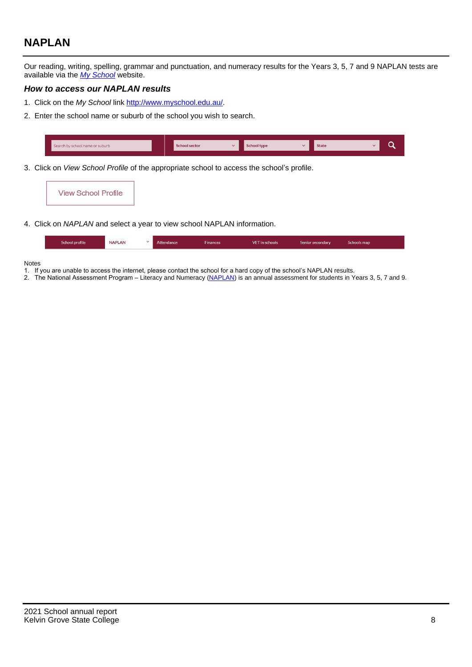# **NAPLAN**

Our reading, writing, spelling, grammar and punctuation, and numeracy results for the Years 3, 5, 7 and 9 NAPLAN tests are available via the [My School](http://www.myschool.edu.au/) website.

### **How to access our NAPLAN results**

- 1. Click on the My School link <http://www.myschool.edu.au/>.
- 2. Enter the school name or suburb of the school you wish to search.

| Search by school name or suburb | <b>School sector</b> | <b>School type</b>                        |          | <b>State</b> |  |
|---------------------------------|----------------------|-------------------------------------------|----------|--------------|--|
|                                 |                      |                                           |          |              |  |
|                                 |                      | $\sim$ $\sim$ $\sim$ $\sim$ $\sim$ $\sim$ | $\cdots$ |              |  |

3. Click on View School Profile of the appropriate school to access the school's profile.

| <b>View School Profile</b> |
|----------------------------|
|----------------------------|

4. Click on NAPLAN and select a year to view school NAPLAN information.

|  | School profile | <b>NAPLAN</b><br>$\sim$ 1 | Attendance | <b>Finances</b> | <b>VET</b> in schools | Senior secondary | Schools map |
|--|----------------|---------------------------|------------|-----------------|-----------------------|------------------|-------------|
|--|----------------|---------------------------|------------|-----------------|-----------------------|------------------|-------------|

#### Notes

- 1. If you are unable to access the internet, please contact the school for a hard copy of the school's NAPLAN results.
- 2. The National Assessment Program Literacy and Numeracy ([NAPLAN\)](http://www.nap.edu.au/naplan) is an annual assessment for students in Years 3, 5, 7 and 9.